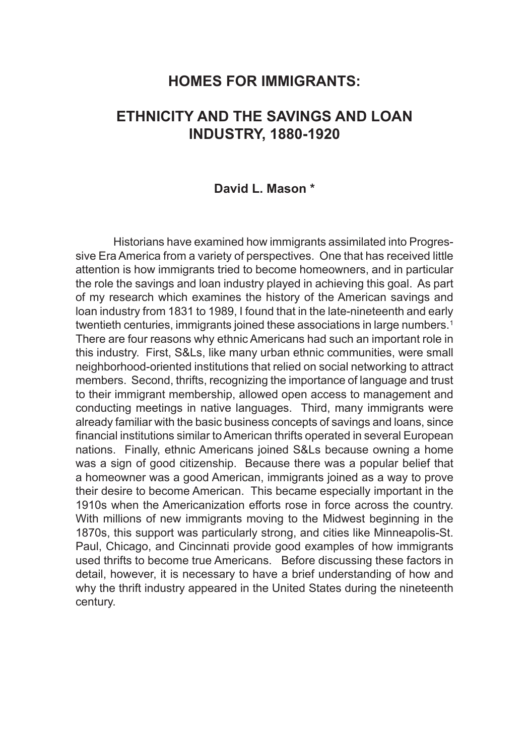## **HOMES FOR IMMIGRANTS:**

# **ETHNICITY AND THE SAVINGS AND LOAN INDUSTRY, 1880-1920**

### **David L. Mason \***

Historians have examined how immigrants assimilated into Progressive Era America from a variety of perspectives. One that has received little attention is how immigrants tried to become homeowners, and in particular the role the savings and loan industry played in achieving this goal. As part of my research which examines the history of the American savings and loan industry from 1831 to 1989, I found that in the late-nineteenth and early twentieth centuries, immigrants joined these associations in large numbers.<sup>1</sup> There are four reasons why ethnic Americans had such an important role in this industry. First, S&Ls, like many urban ethnic communities, were small neighborhood-oriented institutions that relied on social networking to attract members. Second, thrifts, recognizing the importance of language and trust to their immigrant membership, allowed open access to management and conducting meetings in native languages. Third, many immigrants were already familiar with the basic business concepts of savings and loans, since financial institutions similar to American thrifts operated in several European nations. Finally, ethnic Americans joined S&Ls because owning a home was a sign of good citizenship. Because there was a popular belief that a homeowner was a good American, immigrants joined as a way to prove their desire to become American. This became especially important in the 1910s when the Americanization efforts rose in force across the country. With millions of new immigrants moving to the Midwest beginning in the 1870s, this support was particularly strong, and cities like Minneapolis-St. Paul, Chicago, and Cincinnati provide good examples of how immigrants used thrifts to become true Americans. Before discussing these factors in detail, however, it is necessary to have a brief understanding of how and why the thrift industry appeared in the United States during the nineteenth century.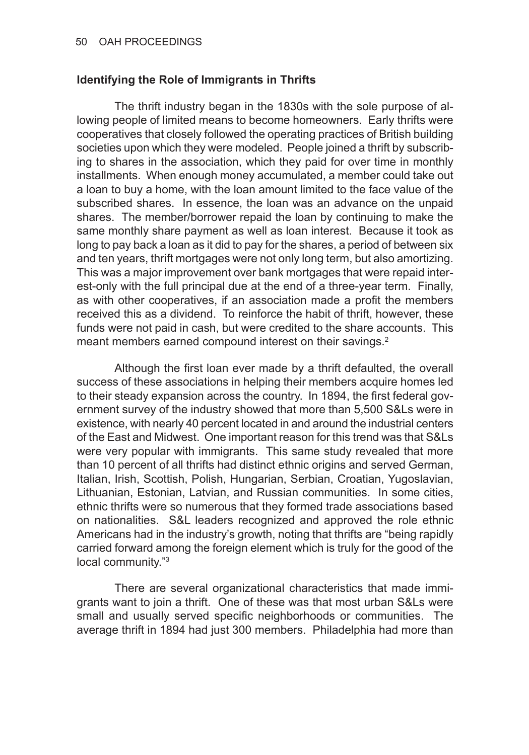#### **Identifying the Role of Immigrants in Thrifts**

The thrift industry began in the 1830s with the sole purpose of allowing people of limited means to become homeowners. Early thrifts were cooperatives that closely followed the operating practices of British building societies upon which they were modeled. People joined a thrift by subscribing to shares in the association, which they paid for over time in monthly installments. When enough money accumulated, a member could take out a loan to buy a home, with the loan amount limited to the face value of the subscribed shares. In essence, the loan was an advance on the unpaid shares. The member/borrower repaid the loan by continuing to make the same monthly share payment as well as loan interest. Because it took as long to pay back a loan as it did to pay for the shares, a period of between six and ten years, thrift mortgages were not only long term, but also amortizing. This was a major improvement over bank mortgages that were repaid interest-only with the full principal due at the end of a three-year term. Finally, as with other cooperatives, if an association made a profit the members received this as a dividend. To reinforce the habit of thrift, however, these funds were not paid in cash, but were credited to the share accounts. This meant members earned compound interest on their savings.<sup>2</sup>

Although the first loan ever made by a thrift defaulted, the overall success of these associations in helping their members acquire homes led to their steady expansion across the country. In 1894, the first federal government survey of the industry showed that more than 5,500 S&Ls were in existence, with nearly 40 percent located in and around the industrial centers of the East and Midwest. One important reason for this trend was that S&Ls were very popular with immigrants. This same study revealed that more than 10 percent of all thrifts had distinct ethnic origins and served German, Italian, Irish, Scottish, Polish, Hungarian, Serbian, Croatian, Yugoslavian, Lithuanian, Estonian, Latvian, and Russian communities. In some cities, ethnic thrifts were so numerous that they formed trade associations based on nationalities. S&L leaders recognized and approved the role ethnic Americans had in the industry's growth, noting that thrifts are "being rapidly carried forward among the foreign element which is truly for the good of the local community."3

There are several organizational characteristics that made immigrants want to join a thrift. One of these was that most urban S&Ls were small and usually served specific neighborhoods or communities. The average thrift in 1894 had just 300 members. Philadelphia had more than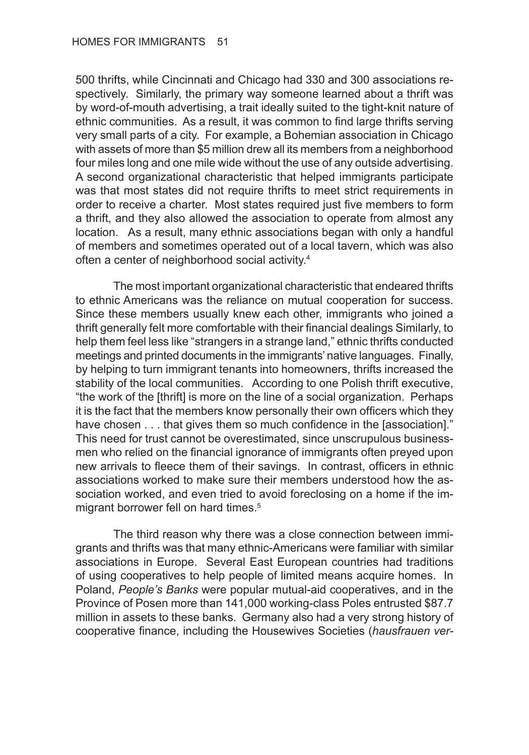500 thrifts, while Cincinnati and Chicago had 330 and 300 associations respectively. Similarly, the primary way someone learned about a thrift was by word-of-mouth advertising, a trait ideally suited to the tight-knit nature of ethnic communities. As a result, it was common to find large thrifts serving very small parts of a city. For example, a Bohemian association in Chicago with assets of more than \$5 million drew all its members from a neighborhood four miles long and one mile wide without the use of any outside advertising. A second organizational characteristic that helped immigrants participate was that most states did not require thrifts to meet strict requirements in order to receive a charter. Most states required just five members to form a thrift, and they also allowed the association to operate from almost any location. As a result, many ethnic associations began with only a handful of members and sometimes operated out of a local tavern, which was also often a center of neighborhood social activity.4

The most important organizational characteristic that endeared thrifts to ethnic Americans was the reliance on mutual cooperation for success. Since these members usually knew each other, immigrants who joined a thrift generally felt more comfortable with their financial dealings Similarly, to help them feel less like "strangers in a strange land," ethnic thrifts conducted meetings and printed documents in the immigrants' native languages. Finally, by helping to turn immigrant tenants into homeowners, thrifts increased the stability of the local communities. According to one Polish thrift executive, "the work of the [thrift] is more on the line of a social organization. Perhaps it is the fact that the members know personally their own officers which they have chosen . . . that gives them so much confidence in the [association]." This need for trust cannot be overestimated, since unscrupulous businessmen who relied on the financial ignorance of immigrants often preyed upon new arrivals to fleece them of their savings. In contrast, officers in ethnic associations worked to make sure their members understood how the association worked, and even tried to avoid foreclosing on a home if the immigrant borrower fell on hard times.<sup>5</sup>

The third reason why there was a close connection between immigrants and thrifts was that many ethnic-Americans were familiar with similar associations in Europe. Several East European countries had traditions of using cooperatives to help people of limited means acquire homes. In Poland, *People's Banks* were popular mutual-aid cooperatives, and in the Province of Posen more than 141,000 working-class Poles entrusted \$87.7 million in assets to these banks. Germany also had a very strong history of cooperative finance, including the Housewives Societies (*hausfrauen ver-*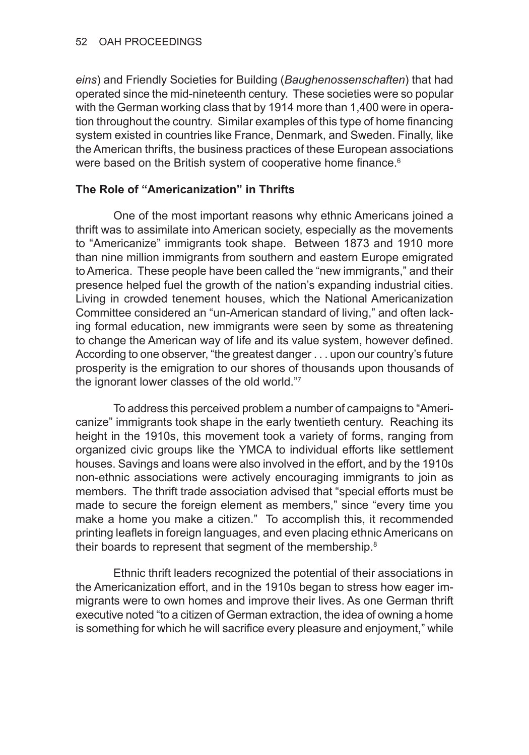*eins*) and Friendly Societies for Building (*Baughenossenschaften*) that had operated since the mid-nineteenth century. These societies were so popular with the German working class that by 1914 more than 1,400 were in operation throughout the country. Similar examples of this type of home financing system existed in countries like France, Denmark, and Sweden. Finally, like the American thrifts, the business practices of these European associations were based on the British system of cooperative home finance.<sup>6</sup>

### **The Role of "Americanization" in Thrifts**

One of the most important reasons why ethnic Americans joined a thrift was to assimilate into American society, especially as the movements to "Americanize" immigrants took shape. Between 1873 and 1910 more than nine million immigrants from southern and eastern Europe emigrated to America. These people have been called the "new immigrants," and their presence helped fuel the growth of the nation's expanding industrial cities. Living in crowded tenement houses, which the National Americanization Committee considered an "un-American standard of living," and often lacking formal education, new immigrants were seen by some as threatening to change the American way of life and its value system, however defined. According to one observer, "the greatest danger . . . upon our country's future prosperity is the emigration to our shores of thousands upon thousands of the ignorant lower classes of the old world."7

To address this perceived problem a number of campaigns to "Americanize" immigrants took shape in the early twentieth century. Reaching its height in the 1910s, this movement took a variety of forms, ranging from organized civic groups like the YMCA to individual efforts like settlement houses. Savings and loans were also involved in the effort, and by the 1910s non-ethnic associations were actively encouraging immigrants to join as members. The thrift trade association advised that "special efforts must be made to secure the foreign element as members," since "every time you make a home you make a citizen." To accomplish this, it recommended printing leaflets in foreign languages, and even placing ethnic Americans on their boards to represent that segment of the membership.<sup>8</sup>

Ethnic thrift leaders recognized the potential of their associations in the Americanization effort, and in the 1910s began to stress how eager immigrants were to own homes and improve their lives. As one German thrift executive noted "to a citizen of German extraction, the idea of owning a home is something for which he will sacrifice every pleasure and enjoyment," while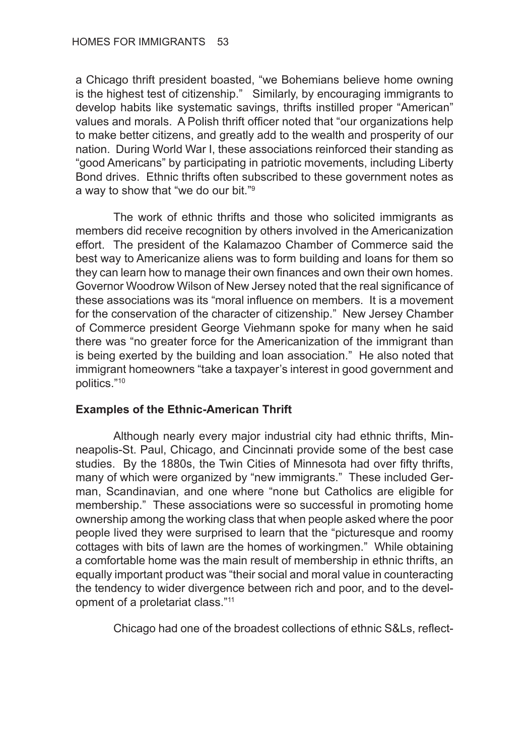a Chicago thrift president boasted, "we Bohemians believe home owning is the highest test of citizenship." Similarly, by encouraging immigrants to develop habits like systematic savings, thrifts instilled proper "American" values and morals. A Polish thrift officer noted that "our organizations help to make better citizens, and greatly add to the wealth and prosperity of our nation. During World War I, these associations reinforced their standing as "good Americans" by participating in patriotic movements, including Liberty Bond drives. Ethnic thrifts often subscribed to these government notes as a way to show that "we do our bit."9

The work of ethnic thrifts and those who solicited immigrants as members did receive recognition by others involved in the Americanization effort. The president of the Kalamazoo Chamber of Commerce said the best way to Americanize aliens was to form building and loans for them so they can learn how to manage their own finances and own their own homes. Governor Woodrow Wilson of New Jersey noted that the real significance of these associations was its "moral influence on members. It is a movement for the conservation of the character of citizenship." New Jersey Chamber of Commerce president George Viehmann spoke for many when he said there was "no greater force for the Americanization of the immigrant than is being exerted by the building and loan association." He also noted that immigrant homeowners "take a taxpayer's interest in good government and politics."10

### **Examples of the Ethnic-American Thrift**

Although nearly every major industrial city had ethnic thrifts, Minneapolis-St. Paul, Chicago, and Cincinnati provide some of the best case studies. By the 1880s, the Twin Cities of Minnesota had over fifty thrifts, many of which were organized by "new immigrants." These included German, Scandinavian, and one where "none but Catholics are eligible for membership." These associations were so successful in promoting home ownership among the working class that when people asked where the poor people lived they were surprised to learn that the "picturesque and roomy cottages with bits of lawn are the homes of workingmen." While obtaining a comfortable home was the main result of membership in ethnic thrifts, an equally important product was "their social and moral value in counteracting the tendency to wider divergence between rich and poor, and to the development of a proletariat class."11

Chicago had one of the broadest collections of ethnic S&Ls, reflect-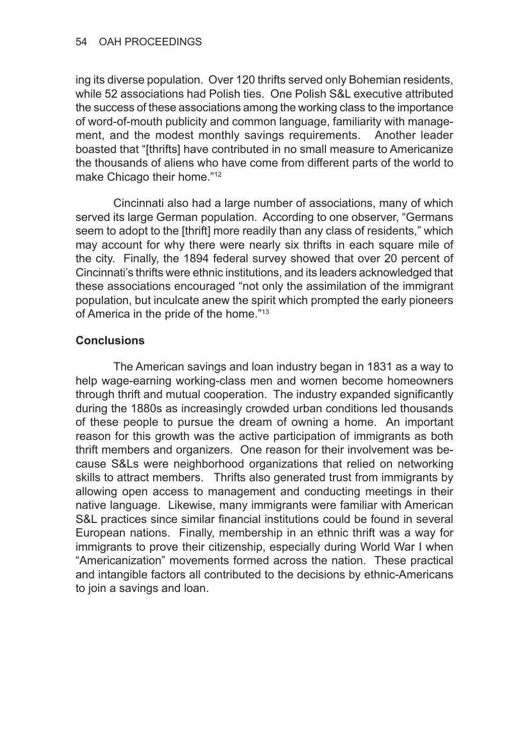ing its diverse population. Over 120 thrifts served only Bohemian residents, while 52 associations had Polish ties. One Polish S&L executive attributed the success of these associations among the working class to the importance of word-of-mouth publicity and common language, familiarity with management, and the modest monthly savings requirements. Another leader boasted that "[thrifts] have contributed in no small measure to Americanize the thousands of aliens who have come from different parts of the world to make Chicago their home."12

Cincinnati also had a large number of associations, many of which served its large German population. According to one observer, "Germans seem to adopt to the [thrift] more readily than any class of residents," which may account for why there were nearly six thrifts in each square mile of the city. Finally, the 1894 federal survey showed that over 20 percent of Cincinnati's thrifts were ethnic institutions, and its leaders acknowledged that these associations encouraged "not only the assimilation of the immigrant population, but inculcate anew the spirit which prompted the early pioneers of America in the pride of the home."13

### **Conclusions**

The American savings and loan industry began in 1831 as a way to help wage-earning working-class men and women become homeowners through thrift and mutual cooperation. The industry expanded significantly during the 1880s as increasingly crowded urban conditions led thousands of these people to pursue the dream of owning a home. An important reason for this growth was the active participation of immigrants as both thrift members and organizers. One reason for their involvement was because S&Ls were neighborhood organizations that relied on networking skills to attract members. Thrifts also generated trust from immigrants by allowing open access to management and conducting meetings in their native language. Likewise, many immigrants were familiar with American S&L practices since similar financial institutions could be found in several European nations. Finally, membership in an ethnic thrift was a way for immigrants to prove their citizenship, especially during World War I when "Americanization" movements formed across the nation. These practical and intangible factors all contributed to the decisions by ethnic-Americans to join a savings and loan.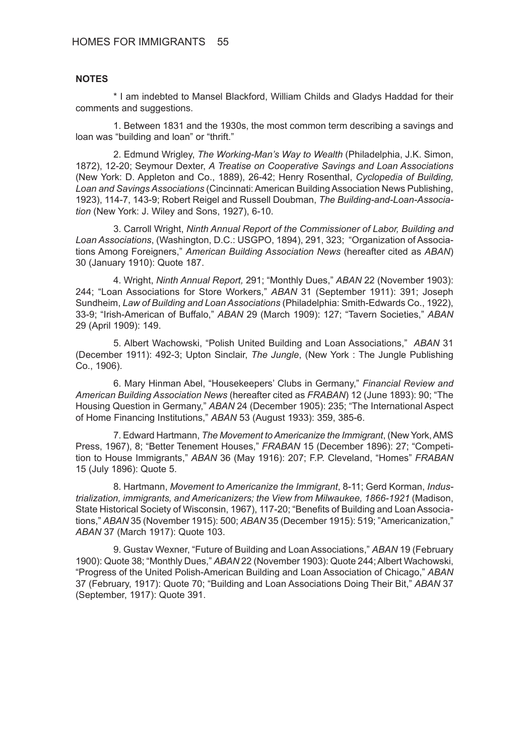#### **NOTES**

\* I am indebted to Mansel Blackford, William Childs and Gladys Haddad for their comments and suggestions.

1. Between 1831 and the 1930s, the most common term describing a savings and loan was "building and loan" or "thrift."

2. Edmund Wrigley, *The Working-Man's Way to Wealth* (Philadelphia, J.K. Simon, 1872), 12-20; Seymour Dexter, *A Treatise on Cooperative Savings and Loan Associations* (New York: D. Appleton and Co., 1889), 26-42; Henry Rosenthal, *Cyclopedia of Building, Loan and Savings Associations* (Cincinnati: American Building Association News Publishing, 1923), 114-7, 143-9; Robert Reigel and Russell Doubman, *The Building-and-Loan-Association* (New York: J. Wiley and Sons, 1927), 6-10.

3. Carroll Wright, *Ninth Annual Report of the Commissioner of Labor, Building and Loan Associations*, (Washington, D.C.: USGPO, 1894), 291, 323; "Organization of Associations Among Foreigners," *American Building Association News* (hereafter cited as *ABAN*) 30 (January 1910): Quote 187.

4. Wright, *Ninth Annual Report,* 291; "Monthly Dues," *ABAN* 22 (November 1903): 244; "Loan Associations for Store Workers," *ABAN* 31 (September 1911): 391; Joseph Sundheim, *Law of Building and Loan Associations* (Philadelphia: Smith‑Edwards Co., 1922), 33-9; "Irish-American of Buffalo," *ABAN* 29 (March 1909): 127; "Tavern Societies," *ABAN* 29 (April 1909): 149.

5. Albert Wachowski, "Polish United Building and Loan Associations," *ABAN* 31 (December 1911): 492-3; Upton Sinclair, *The Jungle*, (New York : The Jungle Publishing Co., 1906).

6. Mary Hinman Abel, "Housekeepers' Clubs in Germany," *Financial Review and American Building Association News* (hereafter cited as *FRABAN*) 12 (June 1893): 90; "The Housing Question in Germany," *ABAN* 24 (December 1905): 235; "The International Aspect of Home Financing Institutions," *ABAN* 53 (August 1933): 359, 385-6.

7. Edward Hartmann, *The Movement to Americanize the Immigrant*, (New York, AMS Press, 1967), 8; "Better Tenement Houses," *FRABAN* 15 (December 1896): 27; "Competition to House Immigrants," *ABAN* 36 (May 1916): 207; F.P. Cleveland, "Homes" *FRABAN* 15 (July 1896): Quote 5.

8. Hartmann, *Movement to Americanize the Immigrant*, 8-11; Gerd Korman, *Industrialization, immigrants, and Americanizers; the View from Milwaukee, 1866-1921* (Madison, State Historical Society of Wisconsin, 1967), 117-20; "Benefits of Building and Loan Associations," *ABAN* 35 (November 1915): 500; *ABAN* 35 (December 1915): 519; "Americanization," *ABAN* 37 (March 1917): Quote 103.

9. Gustav Wexner, "Future of Building and Loan Associations," *ABAN* 19 (February 1900): Quote 38; "Monthly Dues," *ABAN* 22 (November 1903): Quote 244; Albert Wachowski, "Progress of the United Polish-American Building and Loan Association of Chicago," *ABAN* 37 (February, 1917): Quote 70; "Building and Loan Associations Doing Their Bit," *ABAN* 37 (September, 1917): Quote 391.